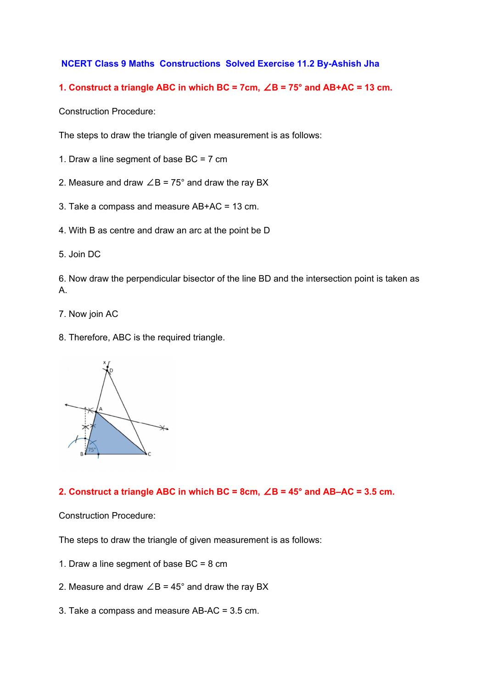## **NCERT Class 9 Maths Constructions Solved Exercise 11.2 By-Ashish Jha**

## **1. Construct a triangle ABC in which BC = 7cm,** ∠**B = 75° and AB+AC = 13 cm.**

Construction Procedure:

The steps to draw the triangle of given measurement is as follows:

- 1. Draw a line segment of base BC = 7 cm
- 2. Measure and draw  $\angle B = 75^\circ$  and draw the ray BX
- 3. Take a compass and measure AB+AC = 13 cm.
- 4. With B as centre and draw an arc at the point be D
- 5. Join DC

6. Now draw the perpendicular bisector of the line BD and the intersection point is taken as A.

- 7. Now join AC
- 8. Therefore, ABC is the required triangle.



#### **2. Construct a triangle ABC in which BC = 8cm,** ∠**B = 45° and AB–AC = 3.5 cm.**

Construction Procedure:

The steps to draw the triangle of given measurement is as follows:

- 1. Draw a line segment of base BC = 8 cm
- 2. Measure and draw  $\angle B = 45^\circ$  and draw the ray BX
- 3. Take a compass and measure AB-AC = 3.5 cm.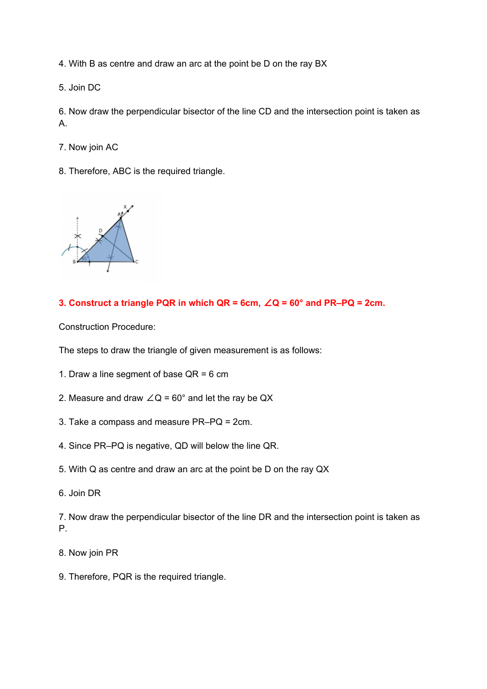4. With B as centre and draw an arc at the point be D on the ray BX

5. Join DC

6. Now draw the perpendicular bisector of the line CD and the intersection point is taken as A.

- 7. Now join AC
- 8. Therefore, ABC is the required triangle.



## **3. Construct a triangle PQR in which QR = 6cm,** ∠**Q = 60° and PR–PQ = 2cm.**

Construction Procedure:

The steps to draw the triangle of given measurement is as follows:

- 1. Draw a line segment of base  $QR = 6$  cm
- 2. Measure and draw  $\angle Q = 60^\circ$  and let the ray be QX
- 3. Take a compass and measure PR–PQ = 2cm.
- 4. Since PR–PQ is negative, QD will below the line QR.
- 5. With Q as centre and draw an arc at the point be D on the ray QX
- 6. Join DR

7. Now draw the perpendicular bisector of the line DR and the intersection point is taken as P.

- 8. Now join PR
- 9. Therefore, PQR is the required triangle.